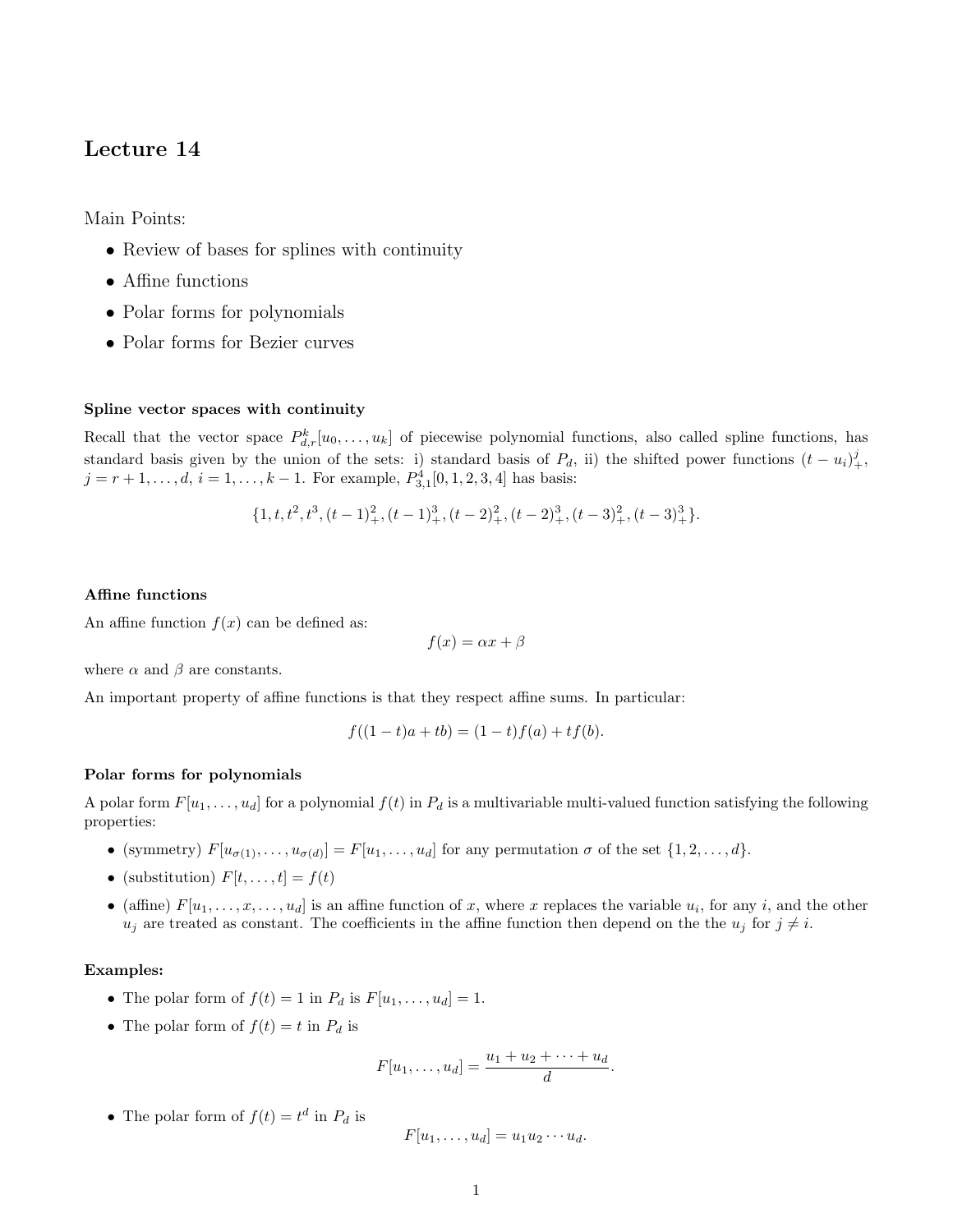# Lecture 14

Main Points:

- Review of bases for splines with continuity
- Affine functions
- Polar forms for polynomials
- Polar forms for Bezier curves

## Spline vector spaces with continuity

Recall that the vector space  $P_{d,r}^k[u_0,\ldots,u_k]$  of piecewise polynomial functions, also called spline functions, has standard basis given by the union of the sets: i) standard basis of  $P_d$ , ii) the shifted power functions  $(t - u_i)_+^j$ ,  $j = r + 1, \ldots, d, i = 1, \ldots, k - 1$ . For example,  $P_{3,1}^4[0, 1, 2, 3, 4]$  has basis:

$$
\{1, t, t^2, t^3, (t-1)_+^2, (t-1)_+^3, (t-2)_+^2, (t-2)_+^3, (t-3)_+^2, (t-3)_+^3\}.
$$

#### Affine functions

An affine function  $f(x)$  can be defined as:

$$
f(x) = \alpha x + \beta
$$

where  $\alpha$  and  $\beta$  are constants.

An important property of affine functions is that they respect affine sums. In particular:

$$
f((1-t)a + tb) = (1-t)f(a) + tf(b).
$$

#### Polar forms for polynomials

A polar form  $F[u_1,\ldots,u_d]$  for a polynomial  $f(t)$  in  $P_d$  is a multivariable multi-valued function satisfying the following properties:

- (symmetry)  $F[u_{\sigma(1)},...,u_{\sigma(d)}] = F[u_1,...,u_d]$  for any permutation  $\sigma$  of the set  $\{1,2,...,d\}$ .
- (substitution)  $F[t, \ldots, t] = f(t)$
- (affine)  $F[u_1,\ldots,x,\ldots,u_d]$  is an affine function of x, where x replaces the variable  $u_i$ , for any i, and the other  $u_j$  are treated as constant. The coefficients in the affine function then depend on the the  $u_j$  for  $j \neq i$ .

### Examples:

- The polar form of  $f(t) = 1$  in  $P_d$  is  $F[u_1, \ldots, u_d] = 1$ .
- The polar form of  $f(t) = t$  in  $P_d$  is

$$
F[u_1,\ldots,u_d]=\frac{u_1+u_2+\cdots+u_d}{d}
$$

.

• The polar form of  $f(t) = t^d$  in  $P_d$  is

$$
F[u_1,\ldots,u_d]=u_1u_2\cdots u_d.
$$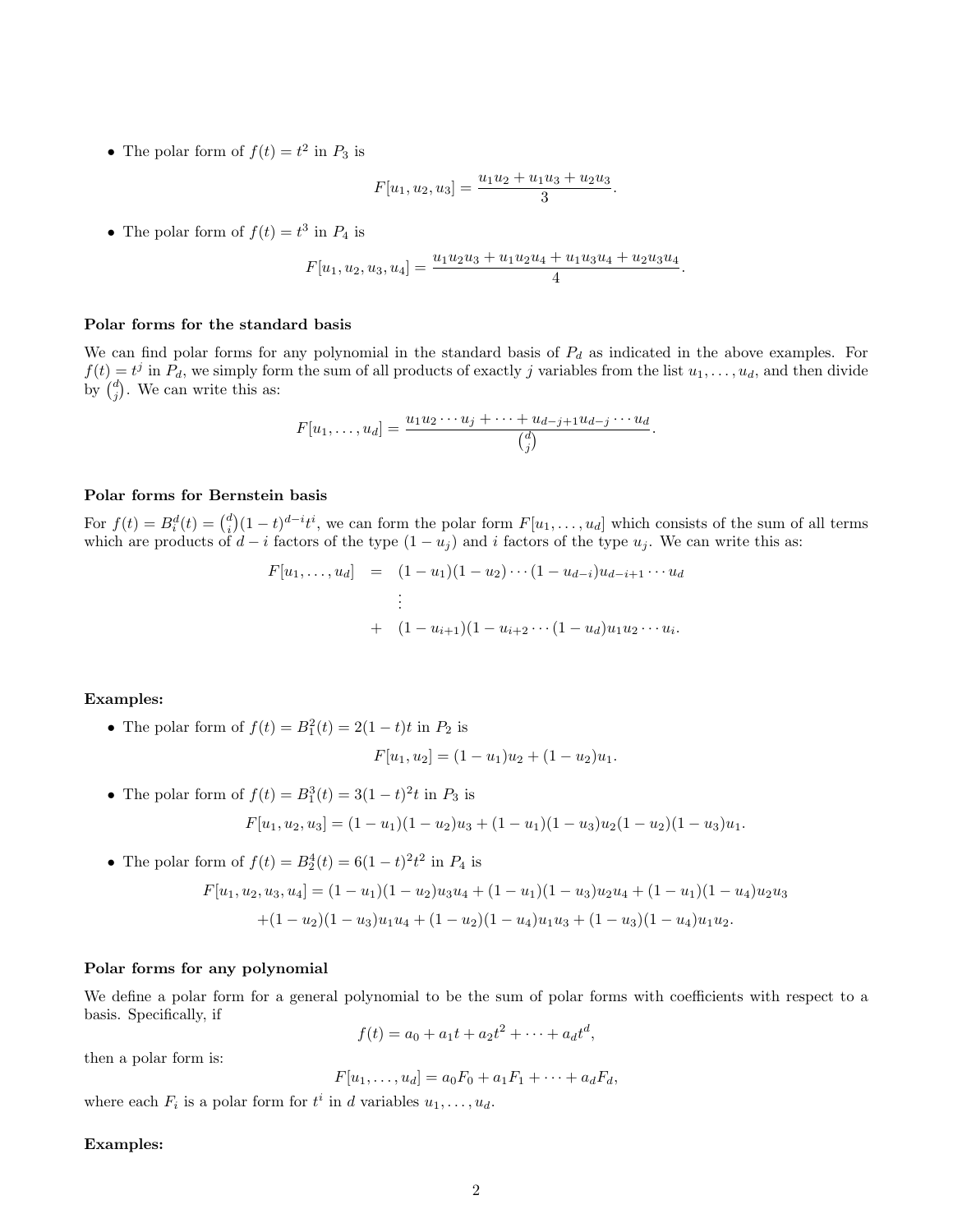• The polar form of  $f(t) = t^2$  in  $P_3$  is

$$
F[u_1, u_2, u_3] = \frac{u_1 u_2 + u_1 u_3 + u_2 u_3}{3}.
$$

• The polar form of  $f(t) = t^3$  in  $P_4$  is

$$
F[u_1, u_2, u_3, u_4] = \frac{u_1 u_2 u_3 + u_1 u_2 u_4 + u_1 u_3 u_4 + u_2 u_3 u_4}{4}.
$$

#### Polar forms for the standard basis

We can find polar forms for any polynomial in the standard basis of  $P_d$  as indicated in the above examples. For  $f(t) = t^j$  in  $P_d$ , we simply form the sum of all products of exactly j variables from the list  $u_1, \ldots, u_d$ , and then divide by  $\binom{d}{j}$ . We can write this as:

$$
F[u_1,\ldots,u_d]=\frac{u_1u_2\cdots u_j+\cdots+u_{d-j+1}u_{d-j}\cdots u_d}{\binom{d}{j}}.
$$

#### Polar forms for Bernstein basis

For  $f(t) = B_i^d(t) = {d \choose i}(1-t)^{d-i}t^i$ , we can form the polar form  $F[u_1,\ldots,u_d]$  which consists of the sum of all terms which are products of  $d - i$  factors of the type  $(1 - u_j)$  and i factors of the type  $u_j$ . We can write this as:

$$
F[u_1, \ldots, u_d] = (1 - u_1)(1 - u_2) \cdots (1 - u_{d-i})u_{d-i+1} \cdots u_d
$$
  
\n
$$
\vdots
$$
  
\n
$$
+ (1 - u_{i+1})(1 - u_{i+2} \cdots (1 - u_d)u_1 u_2 \cdots u_i).
$$

#### Examples:

• The polar form of  $f(t) = B_1^2(t) = 2(1-t)t$  in  $P_2$  is

$$
F[u_1, u_2] = (1 - u_1)u_2 + (1 - u_2)u_1.
$$

- The polar form of  $f(t) = B_1^3(t) = 3(1-t)^2t$  in  $P_3$  is  $F[u_1, u_2, u_3] = (1 - u_1)(1 - u_2)u_3 + (1 - u_1)(1 - u_3)u_2(1 - u_2)(1 - u_3)u_1.$
- The polar form of  $f(t) = B_2^4(t) = 6(1-t)^2 t^2$  in  $P_4$  is

$$
F[u_1, u_2, u_3, u_4] = (1 - u_1)(1 - u_2)u_3u_4 + (1 - u_1)(1 - u_3)u_2u_4 + (1 - u_1)(1 - u_4)u_2u_3
$$

$$
+ (1 - u_2)(1 - u_3)u_1u_4 + (1 - u_2)(1 - u_4)u_1u_3 + (1 - u_3)(1 - u_4)u_1u_2.
$$

#### Polar forms for any polynomial

We define a polar form for a general polynomial to be the sum of polar forms with coefficients with respect to a basis. Specifically, if

$$
f(t) = a_0 + a_1t + a_2t^2 + \dots + a_dt^d,
$$

then a polar form is:

$$
F[u_1, \ldots, u_d] = a_0 F_0 + a_1 F_1 + \cdots + a_d F_d,
$$

where each  $F_i$  is a polar form for  $t^i$  in d variables  $u_1, \ldots, u_d$ .

# Examples: